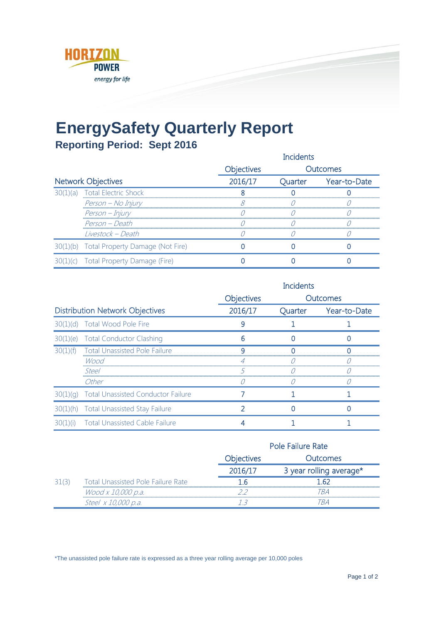

## **EnergySafety Quarterly Report**

## **Reporting Period: Sept 2016**

|                           |                                           | <b>Incidents</b> |          |                      |
|---------------------------|-------------------------------------------|------------------|----------|----------------------|
|                           |                                           | Objectives       | Outcomes |                      |
| <b>Network Objectives</b> |                                           | 2016/17          |          | Quarter Year-to-Date |
| (a)                       | <b>Total Electric Shock</b>               |                  |          |                      |
|                           | Person - No Injury                        |                  |          |                      |
|                           | Person – Injury                           |                  |          |                      |
|                           | Person - Death                            |                  |          |                      |
|                           | Livestock – Death                         |                  |          |                      |
|                           | 30(1)(b) Total Property Damage (Not Fire) |                  |          |                      |
|                           | 1)(c) Total Property Damage (Fire)        |                  |          |                      |

|                                        |                                           | <b>Incidents</b>  |          |              |
|----------------------------------------|-------------------------------------------|-------------------|----------|--------------|
|                                        |                                           | <b>Objectives</b> | Outcomes |              |
| <b>Distribution Network Objectives</b> |                                           | 2016/17           | Quarter  | Year-to-Date |
|                                        | 30(1)(d) Total Wood Pole Fire             |                   |          |              |
|                                        | 30(1)(e) Total Conductor Clashing         | h                 |          |              |
| 30(1)(f)                               | <b>Total Unassisted Pole Failure</b>      |                   |          |              |
|                                        | Wood                                      |                   |          |              |
|                                        | Steel                                     |                   |          |              |
|                                        | Other                                     |                   |          |              |
| 30(1)(a)                               | <b>Total Unassisted Conductor Failure</b> |                   |          |              |
|                                        | 30(1)(h) Total Unassisted Stay Failure    |                   |          |              |
|                                        | 30(1)(i) Total Unassisted Cable Failure   |                   |          |              |

|  |                                           | Pole Failure Rate |                         |
|--|-------------------------------------------|-------------------|-------------------------|
|  |                                           | <b>Objectives</b> | <b>Outcomes</b>         |
|  |                                           | 2016/1.           | 3 year rolling average* |
|  | <b>Total Unassisted Pole Failure Rate</b> |                   | - 62                    |
|  | Wood x 10,000 p.a.                        |                   | TRA                     |
|  | Steel x 10,000 p.a.                       |                   |                         |

\*The unassisted pole failure rate is expressed as a three year rolling average per 10,000 poles